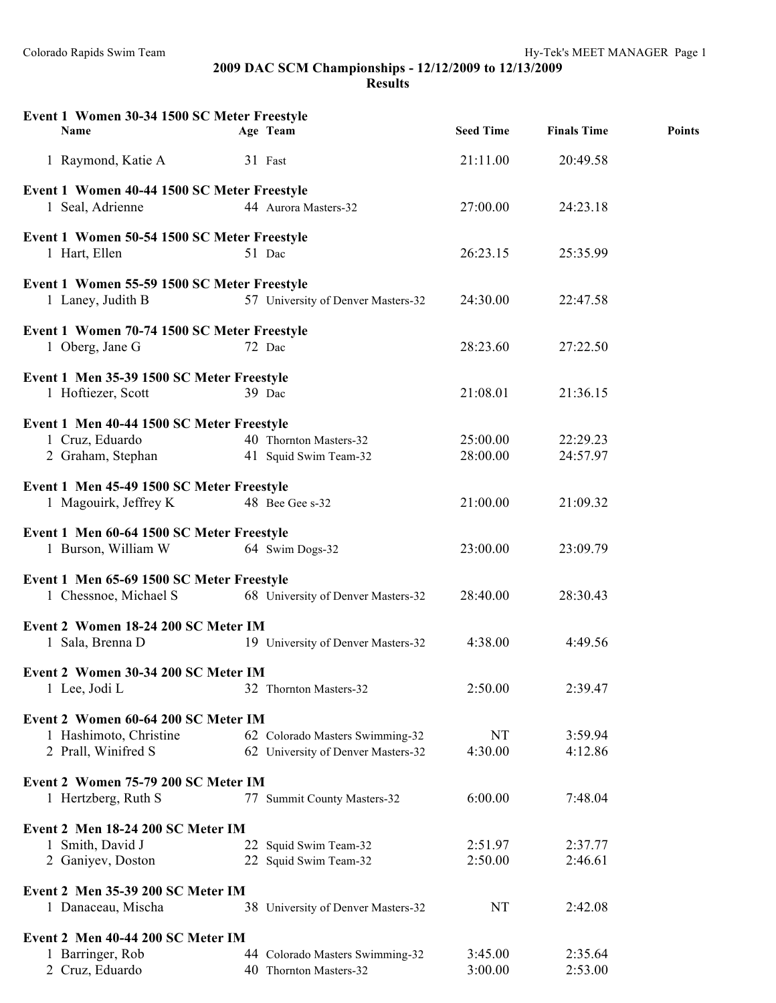Colorado Rapids Swim Team Hy-Tek's MEET MANAGER Page 1

**2009 DAC SCM Championships - 12/12/2009 to 12/13/2009**

**Results**

| Event 1 Women 30-34 1500 SC Meter Freestyle<br>Name                                  | Age Team                                                              | <b>Seed Time</b>     | <b>Finals Time</b>   | <b>Points</b> |
|--------------------------------------------------------------------------------------|-----------------------------------------------------------------------|----------------------|----------------------|---------------|
| 1 Raymond, Katie A                                                                   | 31 Fast                                                               | 21:11.00             | 20:49.58             |               |
| Event 1 Women 40-44 1500 SC Meter Freestyle<br>1 Seal, Adrienne                      | 44 Aurora Masters-32                                                  | 27:00.00             | 24:23.18             |               |
| Event 1 Women 50-54 1500 SC Meter Freestyle<br>1 Hart, Ellen                         | 51 Dac                                                                | 26:23.15             | 25:35.99             |               |
| Event 1 Women 55-59 1500 SC Meter Freestyle<br>1 Laney, Judith B                     | 57 University of Denver Masters-32                                    | 24:30.00             | 22:47.58             |               |
| Event 1 Women 70-74 1500 SC Meter Freestyle<br>1 Oberg, Jane G                       | 72 Dac                                                                | 28:23.60             | 27:22.50             |               |
| Event 1 Men 35-39 1500 SC Meter Freestyle<br>1 Hoftiezer, Scott                      | 39 Dac                                                                | 21:08.01             | 21:36.15             |               |
| Event 1 Men 40-44 1500 SC Meter Freestyle<br>1 Cruz, Eduardo<br>2 Graham, Stephan    | 40 Thornton Masters-32<br>41 Squid Swim Team-32                       | 25:00.00<br>28:00.00 | 22:29.23<br>24:57.97 |               |
| Event 1 Men 45-49 1500 SC Meter Freestyle<br>1 Magouirk, Jeffrey K                   | 48 Bee Gee s-32                                                       | 21:00.00             | 21:09.32             |               |
| Event 1 Men 60-64 1500 SC Meter Freestyle<br>1 Burson, William W                     | 64 Swim Dogs-32                                                       | 23:00.00             | 23:09.79             |               |
| Event 1 Men 65-69 1500 SC Meter Freestyle<br>1 Chessnoe, Michael S                   | 68 University of Denver Masters-32                                    | 28:40.00             | 28:30.43             |               |
| Event 2 Women 18-24 200 SC Meter IM<br>1 Sala, Brenna D                              | 19 University of Denver Masters-32                                    | 4:38.00              | 4:49.56              |               |
| Event 2 Women 30-34 200 SC Meter IM<br>1 Lee, Jodi L                                 | 32 Thornton Masters-32                                                | 2:50.00              | 2:39.47              |               |
| Event 2 Women 60-64 200 SC Meter IM<br>1 Hashimoto, Christine<br>2 Prall, Winifred S | 62 Colorado Masters Swimming-32<br>62 University of Denver Masters-32 | NT<br>4:30.00        | 3:59.94<br>4:12.86   |               |
| Event 2 Women 75-79 200 SC Meter IM<br>1 Hertzberg, Ruth S                           | 77 Summit County Masters-32                                           | 6:00.00              | 7:48.04              |               |
| Event 2 Men 18-24 200 SC Meter IM<br>1 Smith, David J<br>2 Ganiyev, Doston           | 22 Squid Swim Team-32<br>22 Squid Swim Team-32                        | 2:51.97<br>2:50.00   | 2:37.77<br>2:46.61   |               |
| Event 2 Men 35-39 200 SC Meter IM<br>1 Danaceau, Mischa                              | 38 University of Denver Masters-32                                    | NT                   | 2:42.08              |               |
| Event 2 Men 40-44 200 SC Meter IM<br>1 Barringer, Rob<br>2 Cruz, Eduardo             | 44 Colorado Masters Swimming-32<br>40 Thornton Masters-32             | 3:45.00<br>3:00.00   | 2:35.64<br>2:53.00   |               |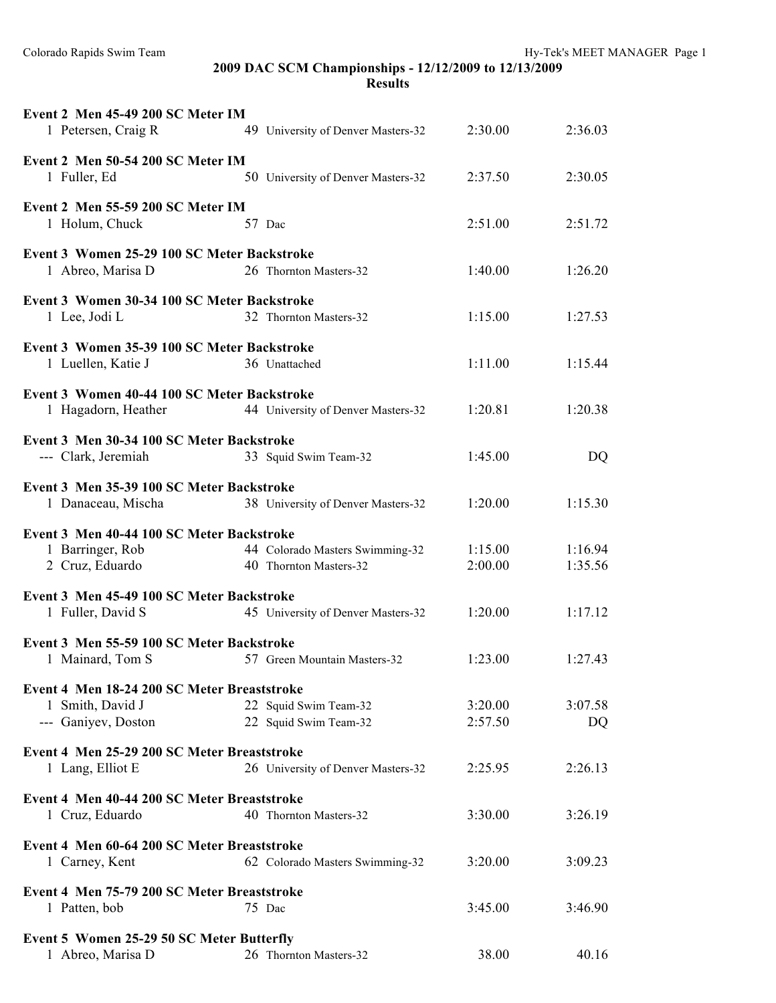Colorado Rapids Swim Team Hy-Tek's MEET MANAGER Page 1

### **2009 DAC SCM Championships - 12/12/2009 to 12/13/2009 Results**

| Event 2 Men 45-49 200 SC Meter IM<br>1 Petersen, Craig R          | 49 University of Denver Masters-32 | 2:30.00 | 2:36.03   |
|-------------------------------------------------------------------|------------------------------------|---------|-----------|
| Event 2 Men 50-54 200 SC Meter IM<br>1 Fuller, Ed                 | 50 University of Denver Masters-32 | 2:37.50 | 2:30.05   |
| Event 2 Men 55-59 200 SC Meter IM                                 |                                    |         |           |
| 1 Holum, Chuck                                                    | 57 Dac                             | 2:51.00 | 2:51.72   |
| Event 3 Women 25-29 100 SC Meter Backstroke<br>1 Abreo, Marisa D  | 26 Thornton Masters-32             | 1:40.00 | 1:26.20   |
| Event 3 Women 30-34 100 SC Meter Backstroke                       |                                    |         |           |
| 1 Lee, Jodi L                                                     | 32 Thornton Masters-32             | 1:15.00 | 1:27.53   |
| Event 3 Women 35-39 100 SC Meter Backstroke<br>1 Luellen, Katie J | 36 Unattached                      | 1:11.00 | 1:15.44   |
| Event 3 Women 40-44 100 SC Meter Backstroke                       |                                    |         |           |
| 1 Hagadorn, Heather                                               | 44 University of Denver Masters-32 | 1:20.81 | 1:20.38   |
| Event 3 Men 30-34 100 SC Meter Backstroke                         |                                    |         |           |
| --- Clark, Jeremiah                                               | 33 Squid Swim Team-32              | 1:45.00 | <b>DQ</b> |
| Event 3 Men 35-39 100 SC Meter Backstroke                         |                                    |         |           |
| 1 Danaceau, Mischa                                                | 38 University of Denver Masters-32 | 1:20.00 | 1:15.30   |
| Event 3 Men 40-44 100 SC Meter Backstroke                         |                                    |         |           |
| 1 Barringer, Rob                                                  | 44 Colorado Masters Swimming-32    | 1:15.00 | 1:16.94   |
| 2 Cruz, Eduardo                                                   | 40 Thornton Masters-32             | 2:00.00 | 1:35.56   |
| Event 3 Men 45-49 100 SC Meter Backstroke                         |                                    |         |           |
| 1 Fuller, David S                                                 | 45 University of Denver Masters-32 | 1:20.00 | 1:17.12   |
| Event 3 Men 55-59 100 SC Meter Backstroke                         |                                    |         |           |
| 1 Mainard, Tom S                                                  | 57 Green Mountain Masters-32       | 1:23.00 | 1:27.43   |
| Event 4 Men 18-24 200 SC Meter Breaststroke                       |                                    |         |           |
| 1 Smith, David J                                                  | 22 Squid Swim Team-32              | 3:20.00 | 3:07.58   |
| --- Ganiyev, Doston                                               | 22 Squid Swim Team-32              | 2:57.50 | DQ        |
| Event 4 Men 25-29 200 SC Meter Breaststroke                       |                                    |         |           |
| 1 Lang, Elliot E                                                  | 26 University of Denver Masters-32 | 2:25.95 | 2:26.13   |
| Event 4 Men 40-44 200 SC Meter Breaststroke                       |                                    |         |           |
| 1 Cruz, Eduardo                                                   | 40 Thornton Masters-32             | 3:30.00 | 3:26.19   |
| Event 4 Men 60-64 200 SC Meter Breaststroke                       |                                    |         |           |
| 1 Carney, Kent                                                    | 62 Colorado Masters Swimming-32    | 3:20.00 | 3:09.23   |
| Event 4 Men 75-79 200 SC Meter Breaststroke                       |                                    |         |           |
| 1 Patten, bob                                                     | 75 Dac                             | 3:45.00 | 3:46.90   |
| Event 5 Women 25-29 50 SC Meter Butterfly                         |                                    |         |           |
| 1 Abreo, Marisa D                                                 | 26 Thornton Masters-32             | 38.00   | 40.16     |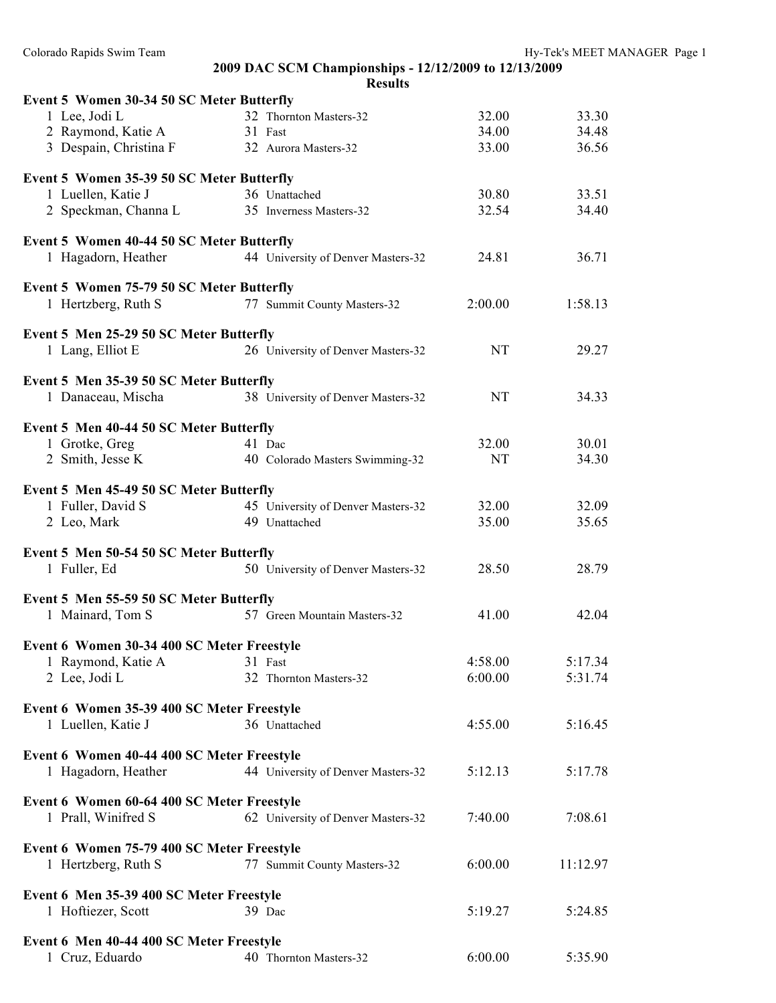## **2009 DAC SCM Championships - 12/12/2009 to 12/13/2009 Results Event 5 Women 30-34 50 SC Meter Butterfly** 1 Lee, Jodi L 32 Thornton Masters-32 32.00 33.30 2 Raymond, Katie A 31 Fast 34.00 34.48 3 Despain, Christina F 32 Aurora Masters-32 33.00 36.56 **Event 5 Women 35-39 50 SC Meter Butterfly** 1 Luellen, Katie J 36 Unattached 30.80 33.51 2 Speckman, Channa L 35 Inverness Masters-32 32.54 34.40 **Event 5 Women 40-44 50 SC Meter Butterfly** 1 Hagadorn, Heather 44 University of Denver Masters-32 24.81 36.71 **Event 5 Women 75-79 50 SC Meter Butterfly** 1 Hertzberg, Ruth S 77 Summit County Masters-32 2:00.00 1:58.13 **Event 5 Men 25-29 50 SC Meter Butterfly** 1 Lang, Elliot E 26 University of Denver Masters-32 NT 29.27 **Event 5 Men 35-39 50 SC Meter Butterfly** 1 Danaceau, Mischa 38 University of Denver Masters-32 NT 34.33 **Event 5 Men 40-44 50 SC Meter Butterfly** 1 Grotke, Greg 41 Dac 32.00 30.01 2 Smith, Jesse K 40 Colorado Masters Swimming-32 NT 34.30 **Event 5 Men 45-49 50 SC Meter Butterfly** 1 Fuller, David S 45 University of Denver Masters-32 32.00 32.09 2 Leo, Mark 49 Unattached 35.00 35.65 **Event 5 Men 50-54 50 SC Meter Butterfly** 1 Fuller, Ed 50 University of Denver Masters-32 28.50 28.79 **Event 5 Men 55-59 50 SC Meter Butterfly** 1 Mainard, Tom S 57 Green Mountain Masters-32 41.00 42.04 **Event 6 Women 30-34 400 SC Meter Freestyle** 1 Raymond, Katie A 31 Fast 4:58.00 5:17.34 2 Lee, Jodi L 32 Thornton Masters-32 6:00.00 5:31.74 **Event 6 Women 35-39 400 SC Meter Freestyle** 1 Luellen, Katie J 36 Unattached 4:55.00 5:16.45 **Event 6 Women 40-44 400 SC Meter Freestyle** 1 Hagadorn, Heather 44 University of Denver Masters-32 5:12.13 5:17.78 **Event 6 Women 60-64 400 SC Meter Freestyle** 1 Prall, Winifred S 62 University of Denver Masters-32 7:40.00 7:08.61 **Event 6 Women 75-79 400 SC Meter Freestyle** 1 Hertzberg, Ruth S 77 Summit County Masters-32 6:00.00 11:12.97 **Event 6 Men 35-39 400 SC Meter Freestyle** 1 Hoftiezer, Scott 39 Dac 5:19.27 5:24.85 **Event 6 Men 40-44 400 SC Meter Freestyle**

1 Cruz, Eduardo 40 Thornton Masters-32 6:00.00 5:35.90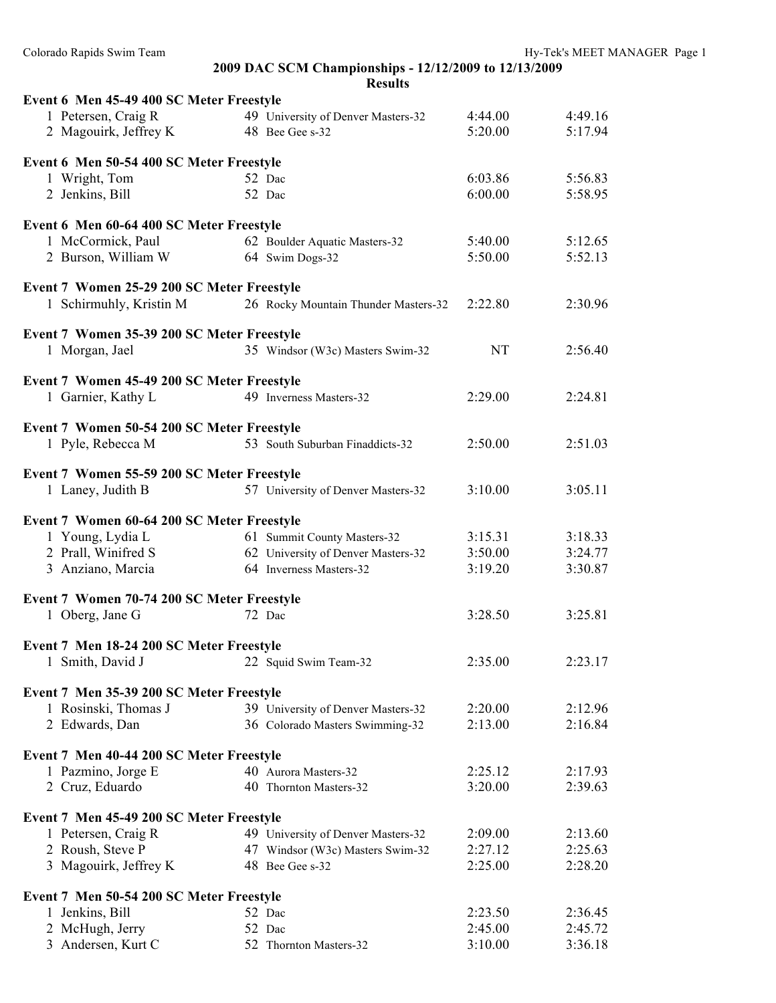| 2009 DAC SCM Championships - 12/12/2009 to 12/13/2009 |  |  |
|-------------------------------------------------------|--|--|
| <b>Results</b>                                        |  |  |

| Event 6 Men 45-49 400 SC Meter Freestyle   |                                      |                    |                    |
|--------------------------------------------|--------------------------------------|--------------------|--------------------|
| 1 Petersen, Craig R                        | 49 University of Denver Masters-32   | 4:44.00            | 4:49.16            |
| 2 Magouirk, Jeffrey K                      | 48 Bee Gee s-32                      | 5:20.00            | 5:17.94            |
|                                            |                                      |                    |                    |
| Event 6 Men 50-54 400 SC Meter Freestyle   |                                      |                    |                    |
| 1 Wright, Tom                              | 52 Dac                               | 6:03.86            | 5:56.83            |
| 2 Jenkins, Bill                            | 52 Dac                               | 6:00.00            | 5:58.95            |
| Event 6 Men 60-64 400 SC Meter Freestyle   |                                      |                    |                    |
| 1 McCormick, Paul                          | 62 Boulder Aquatic Masters-32        | 5:40.00            | 5:12.65            |
| 2 Burson, William W                        | 64 Swim Dogs-32                      | 5:50.00            | 5:52.13            |
|                                            |                                      |                    |                    |
| Event 7 Women 25-29 200 SC Meter Freestyle |                                      |                    |                    |
| 1 Schirmuhly, Kristin M                    | 26 Rocky Mountain Thunder Masters-32 | 2:22.80            | 2:30.96            |
| Event 7 Women 35-39 200 SC Meter Freestyle |                                      |                    |                    |
| 1 Morgan, Jael                             | 35 Windsor (W3c) Masters Swim-32     | NT                 | 2:56.40            |
|                                            |                                      |                    |                    |
| Event 7 Women 45-49 200 SC Meter Freestyle |                                      |                    |                    |
| 1 Garnier, Kathy L                         | 49 Inverness Masters-32              | 2:29.00            | 2:24.81            |
| Event 7 Women 50-54 200 SC Meter Freestyle |                                      |                    |                    |
| 1 Pyle, Rebecca M                          | 53 South Suburban Finaddicts-32      | 2:50.00            | 2:51.03            |
|                                            |                                      |                    |                    |
| Event 7 Women 55-59 200 SC Meter Freestyle |                                      |                    |                    |
| 1 Laney, Judith B                          | 57 University of Denver Masters-32   | 3:10.00            | 3:05.11            |
| Event 7 Women 60-64 200 SC Meter Freestyle |                                      |                    |                    |
| 1 Young, Lydia L                           | 61 Summit County Masters-32          | 3:15.31            | 3:18.33            |
| 2 Prall, Winifred S                        | 62 University of Denver Masters-32   | 3:50.00            | 3:24.77            |
| 3 Anziano, Marcia                          | 64 Inverness Masters-32              | 3:19.20            | 3:30.87            |
|                                            |                                      |                    |                    |
| Event 7 Women 70-74 200 SC Meter Freestyle |                                      |                    |                    |
| 1 Oberg, Jane G                            | 72 Dac                               | 3:28.50            | 3:25.81            |
|                                            |                                      |                    |                    |
| Event 7 Men 18-24 200 SC Meter Freestyle   |                                      | 2:35.00            | 2:23.17            |
| 1 Smith, David J                           | 22 Squid Swim Team-32                |                    |                    |
| Event 7 Men 35-39 200 SC Meter Freestyle   |                                      |                    |                    |
| 1 Rosinski, Thomas J                       | 39 University of Denver Masters-32   | 2:20.00            | 2:12.96            |
| 2 Edwards, Dan                             | 36 Colorado Masters Swimming-32      | 2:13.00            | 2:16.84            |
|                                            |                                      |                    |                    |
| Event 7 Men 40-44 200 SC Meter Freestyle   | 40 Aurora Masters-32                 | 2:25.12            | 2:17.93            |
| 1 Pazmino, Jorge E                         | 40 Thornton Masters-32               | 3:20.00            | 2:39.63            |
| 2 Cruz, Eduardo                            |                                      |                    |                    |
| Event 7 Men 45-49 200 SC Meter Freestyle   |                                      |                    |                    |
| 1 Petersen, Craig R                        | 49 University of Denver Masters-32   | 2:09.00            | 2:13.60            |
| 2 Roush, Steve P                           | 47 Windsor (W3c) Masters Swim-32     | 2:27.12            | 2:25.63            |
| 3 Magouirk, Jeffrey K                      | 48 Bee Gee s-32                      | 2:25.00            | 2:28.20            |
|                                            |                                      |                    |                    |
| Event 7 Men 50-54 200 SC Meter Freestyle   |                                      |                    |                    |
| 1 Jenkins, Bill                            | 52 Dac                               | 2:23.50<br>2:45.00 | 2:36.45<br>2:45.72 |
| 2 McHugh, Jerry<br>3 Andersen, Kurt C      | 52 Dac                               |                    | 3:36.18            |
|                                            | 52 Thornton Masters-32               | 3:10.00            |                    |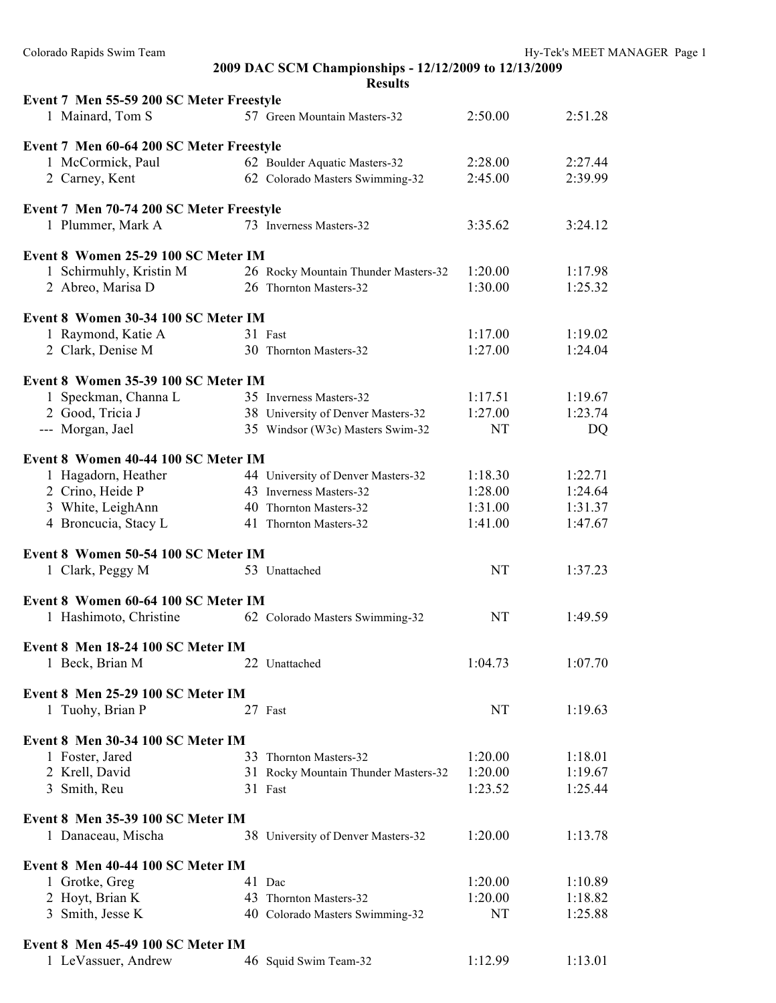#### **2009 DAC SCM Championships - 12/12/2009 to 12/13/2009 Results**

| Event 7 Men 55-59 200 SC Meter Freestyle |                                      |           |         |
|------------------------------------------|--------------------------------------|-----------|---------|
| 1 Mainard, Tom S                         | 57 Green Mountain Masters-32         | 2:50.00   | 2:51.28 |
| Event 7 Men 60-64 200 SC Meter Freestyle |                                      |           |         |
| 1 McCormick, Paul                        | 62 Boulder Aquatic Masters-32        | 2:28.00   | 2:27.44 |
| 2 Carney, Kent                           | 62 Colorado Masters Swimming-32      | 2:45.00   | 2:39.99 |
|                                          |                                      |           |         |
| Event 7 Men 70-74 200 SC Meter Freestyle |                                      |           |         |
| 1 Plummer, Mark A                        | 73 Inverness Masters-32              | 3:35.62   | 3:24.12 |
| Event 8 Women 25-29 100 SC Meter IM      |                                      |           |         |
| 1 Schirmuhly, Kristin M                  | 26 Rocky Mountain Thunder Masters-32 | 1:20.00   | 1:17.98 |
| 2 Abreo, Marisa D                        | 26 Thornton Masters-32               | 1:30.00   | 1:25.32 |
| Event 8 Women 30-34 100 SC Meter IM      |                                      |           |         |
| 1 Raymond, Katie A                       | 31 Fast                              | 1:17.00   | 1:19.02 |
| 2 Clark, Denise M                        | 30 Thornton Masters-32               | 1:27.00   | 1:24.04 |
|                                          |                                      |           |         |
| Event 8 Women 35-39 100 SC Meter IM      |                                      |           |         |
| 1 Speckman, Channa L                     | 35 Inverness Masters-32              | 1:17.51   | 1:19.67 |
| 2 Good, Tricia J                         | 38 University of Denver Masters-32   | 1:27.00   | 1:23.74 |
| --- Morgan, Jael                         | 35 Windsor (W3c) Masters Swim-32     | <b>NT</b> | DQ      |
| Event 8 Women 40-44 100 SC Meter IM      |                                      |           |         |
| 1 Hagadorn, Heather                      | 44 University of Denver Masters-32   | 1:18.30   | 1:22.71 |
| 2 Crino, Heide P                         | 43 Inverness Masters-32              | 1:28.00   | 1:24.64 |
| 3 White, LeighAnn                        | 40 Thornton Masters-32               | 1:31.00   | 1:31.37 |
| 4 Broncucia, Stacy L                     | 41 Thornton Masters-32               | 1:41.00   | 1:47.67 |
| Event 8 Women 50-54 100 SC Meter IM      |                                      |           |         |
| 1 Clark, Peggy M                         | 53 Unattached                        | <b>NT</b> | 1:37.23 |
| Event 8 Women 60-64 100 SC Meter IM      |                                      |           |         |
| 1 Hashimoto, Christine                   | 62 Colorado Masters Swimming-32      | <b>NT</b> | 1:49.59 |
|                                          |                                      |           |         |
| Event 8 Men 18-24 100 SC Meter IM        |                                      |           |         |
| 1 Beck, Brian M                          | 22 Unattached                        | 1:04.73   | 1:07.70 |
| Event 8 Men 25-29 100 SC Meter IM        |                                      |           |         |
| 1 Tuohy, Brian P                         | 27 Fast                              | NT        | 1:19.63 |
|                                          |                                      |           |         |
| Event 8 Men 30-34 100 SC Meter IM        |                                      |           |         |
| 1 Foster, Jared                          | 33 Thornton Masters-32               | 1:20.00   | 1:18.01 |
| 2 Krell, David                           | 31 Rocky Mountain Thunder Masters-32 | 1:20.00   | 1:19.67 |
| 3 Smith, Reu                             | 31 Fast                              | 1:23.52   | 1:25.44 |
| Event 8 Men 35-39 100 SC Meter IM        |                                      |           |         |
| 1 Danaceau, Mischa                       | 38 University of Denver Masters-32   | 1:20.00   | 1:13.78 |
| Event 8 Men 40-44 100 SC Meter IM        |                                      |           |         |
| 1 Grotke, Greg                           | 41 Dac                               | 1:20.00   | 1:10.89 |
| 2 Hoyt, Brian K                          | 43 Thornton Masters-32               | 1:20.00   | 1:18.82 |
| 3 Smith, Jesse K                         | 40 Colorado Masters Swimming-32      | NT        | 1:25.88 |
|                                          |                                      |           |         |
| Event 8 Men 45-49 100 SC Meter IM        |                                      |           |         |
| 1 LeVassuer, Andrew                      | 46 Squid Swim Team-32                | 1:12.99   | 1:13.01 |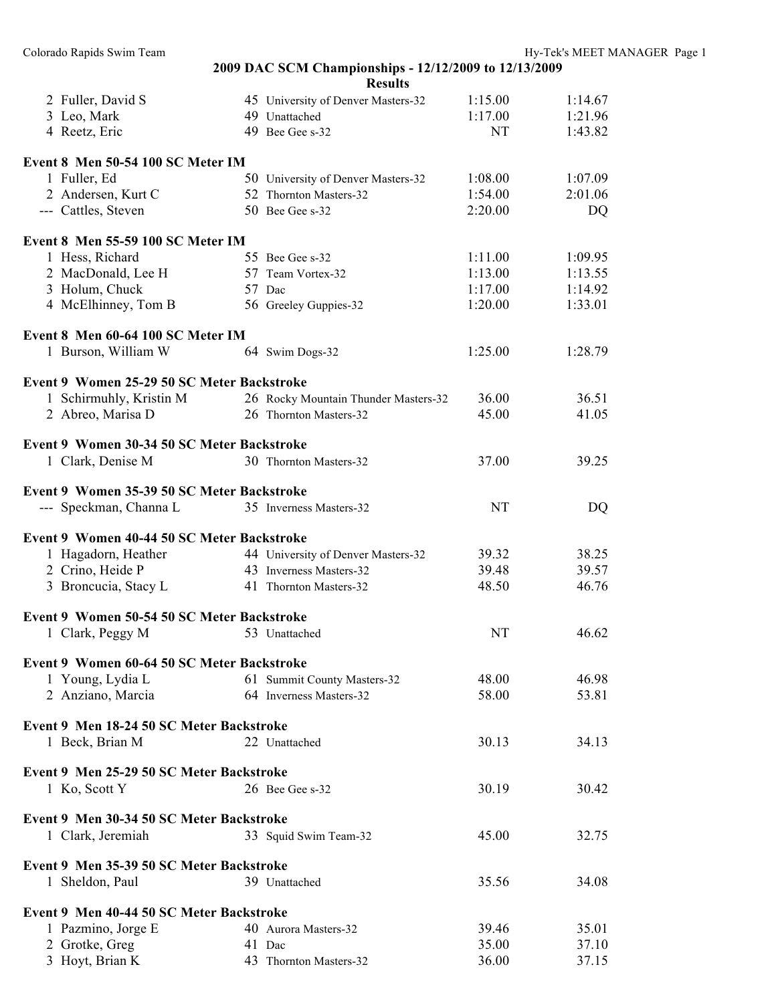| $\angle$ Tulitel, David S                  | 45 University of Denver Masters-32   | 1.13.00   | 1.14.07 |
|--------------------------------------------|--------------------------------------|-----------|---------|
| 3 Leo, Mark                                | 49 Unattached                        | 1:17.00   | 1:21.96 |
| 4 Reetz, Eric                              | 49 Bee Gee s-32                      | NT        | 1:43.82 |
| Event 8 Men 50-54 100 SC Meter IM          |                                      |           |         |
| 1 Fuller, Ed                               | 50 University of Denver Masters-32   | 1:08.00   | 1:07.09 |
| 2 Andersen, Kurt C                         | 52 Thornton Masters-32               | 1:54.00   | 2:01.06 |
| --- Cattles, Steven                        | 50 Bee Gee s-32                      | 2:20.00   | DQ      |
| Event 8 Men 55-59 100 SC Meter IM          |                                      |           |         |
| 1 Hess, Richard                            | 55 Bee Gee s-32                      | 1:11.00   | 1:09.95 |
| 2 MacDonald, Lee H                         | 57 Team Vortex-32                    | 1:13.00   | 1:13.55 |
| 3 Holum, Chuck                             | 57 Dac                               | 1:17.00   | 1:14.92 |
| 4 McElhinney, Tom B                        | 56 Greeley Guppies-32                | 1:20.00   | 1:33.01 |
| Event 8 Men 60-64 100 SC Meter IM          |                                      |           |         |
| 1 Burson, William W                        | 64 Swim Dogs-32                      | 1:25.00   | 1:28.79 |
| Event 9 Women 25-29 50 SC Meter Backstroke |                                      |           |         |
| 1 Schirmuhly, Kristin M                    | 26 Rocky Mountain Thunder Masters-32 | 36.00     | 36.51   |
| 2 Abreo, Marisa D                          | 26 Thornton Masters-32               | 45.00     | 41.05   |
| Event 9 Women 30-34 50 SC Meter Backstroke |                                      |           |         |
| 1 Clark, Denise M                          | 30 Thornton Masters-32               | 37.00     | 39.25   |
|                                            |                                      |           |         |
| Event 9 Women 35-39 50 SC Meter Backstroke |                                      |           |         |
| --- Speckman, Channa L                     | 35 Inverness Masters-32              | NT        | DQ      |
| Event 9 Women 40-44 50 SC Meter Backstroke |                                      |           |         |
| 1 Hagadorn, Heather                        | 44 University of Denver Masters-32   | 39.32     | 38.25   |
| 2 Crino, Heide P                           | 43 Inverness Masters-32              | 39.48     | 39.57   |
| 3 Broncucia, Stacy L                       | 41 Thornton Masters-32               | 48.50     | 46.76   |
| Event 9 Women 50-54 50 SC Meter Backstroke |                                      |           |         |
| 1 Clark, Peggy M                           | 53 Unattached                        | <b>NT</b> | 46.62   |
| Event 9 Women 60-64 50 SC Meter Backstroke |                                      |           |         |
| 1 Young, Lydia L                           | 61 Summit County Masters-32          | 48.00     | 46.98   |
| 2 Anziano, Marcia                          | 64 Inverness Masters-32              | 58.00     | 53.81   |
| Event 9 Men 18-24 50 SC Meter Backstroke   |                                      |           |         |
| 1 Beck, Brian M                            | 22 Unattached                        | 30.13     | 34.13   |
| Event 9 Men 25-29 50 SC Meter Backstroke   |                                      |           |         |
| 1 Ko, Scott Y                              | 26 Bee Gee s-32                      | 30.19     | 30.42   |
| Event 9 Men 30-34 50 SC Meter Backstroke   |                                      |           |         |
| 1 Clark, Jeremiah                          | 33 Squid Swim Team-32                | 45.00     | 32.75   |
| Event 9 Men 35-39 50 SC Meter Backstroke   |                                      |           |         |
| 1 Sheldon, Paul                            | 39 Unattached                        | 35.56     | 34.08   |
| Event 9 Men 40-44 50 SC Meter Backstroke   |                                      |           |         |
| 1 Pazmino, Jorge E                         | 40 Aurora Masters-32                 | 39.46     | 35.01   |
| 2 Grotke, Greg                             | 41 Dac                               | 35.00     | 37.10   |
| 3 Hoyt, Brian K                            | 43 Thornton Masters-32               | 36.00     | 37.15   |
|                                            |                                      |           |         |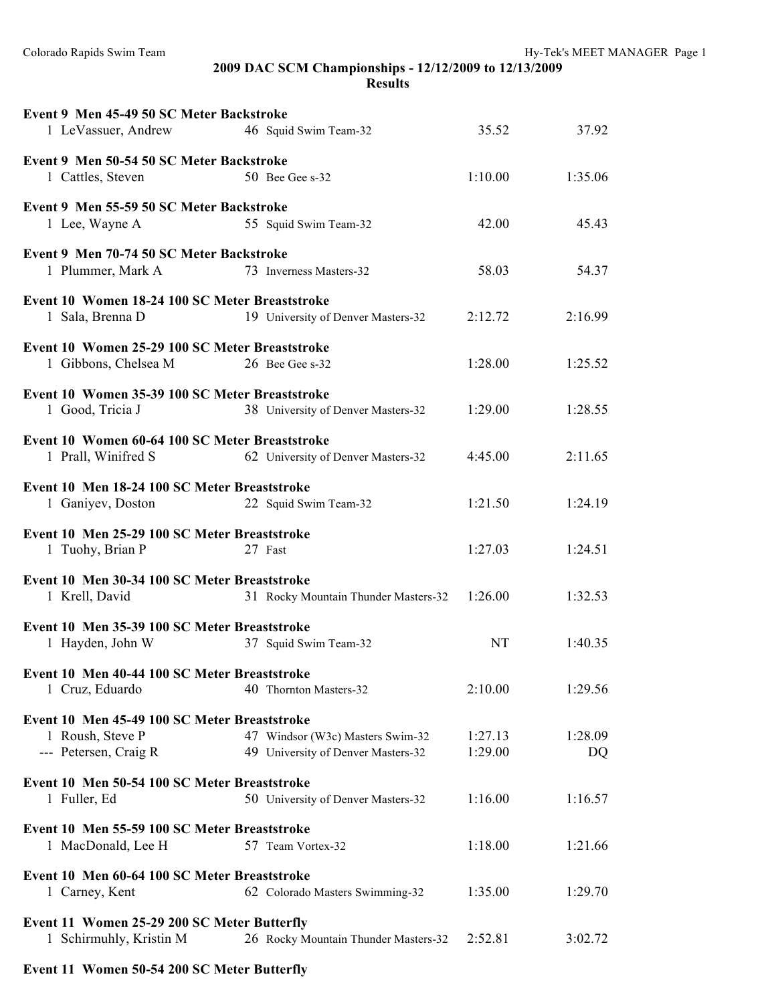Colorado Rapids Swim Team de Article of the Hy-Tek's MEET MANAGER Page 1

# **2009 DAC SCM Championships - 12/12/2009 to 12/13/2009**

| esults |
|--------|
|--------|

| Event 9 Men 45-49 50 SC Meter Backstroke       |                                      |           |         |
|------------------------------------------------|--------------------------------------|-----------|---------|
| 1 LeVassuer, Andrew                            | 46 Squid Swim Team-32                | 35.52     | 37.92   |
| Event 9 Men 50-54 50 SC Meter Backstroke       |                                      |           |         |
| 1 Cattles, Steven                              | 50 Bee Gee s-32                      | 1:10.00   | 1:35.06 |
| Event 9 Men 55-59 50 SC Meter Backstroke       |                                      |           |         |
| 1 Lee, Wayne A                                 | 55 Squid Swim Team-32                | 42.00     | 45.43   |
| Event 9 Men 70-74 50 SC Meter Backstroke       |                                      |           |         |
| 1 Plummer, Mark A                              | 73 Inverness Masters-32              | 58.03     | 54.37   |
| Event 10 Women 18-24 100 SC Meter Breaststroke |                                      |           |         |
| 1 Sala, Brenna D                               | 19 University of Denver Masters-32   | 2:12.72   | 2:16.99 |
| Event 10 Women 25-29 100 SC Meter Breaststroke |                                      |           |         |
| 1 Gibbons, Chelsea M                           | 26 Bee Gee s-32                      | 1:28.00   | 1:25.52 |
| Event 10 Women 35-39 100 SC Meter Breaststroke |                                      |           |         |
| 1 Good, Tricia J                               | 38 University of Denver Masters-32   | 1:29.00   | 1:28.55 |
| Event 10 Women 60-64 100 SC Meter Breaststroke |                                      |           |         |
| 1 Prall, Winifred S                            | 62 University of Denver Masters-32   | 4:45.00   | 2:11.65 |
| Event 10 Men 18-24 100 SC Meter Breaststroke   |                                      |           |         |
| 1 Ganiyev, Doston                              | 22 Squid Swim Team-32                | 1:21.50   | 1:24.19 |
| Event 10 Men 25-29 100 SC Meter Breaststroke   |                                      |           |         |
| 1 Tuohy, Brian P                               | 27 Fast                              | 1:27.03   | 1:24.51 |
| Event 10 Men 30-34 100 SC Meter Breaststroke   |                                      |           |         |
| 1 Krell, David                                 | 31 Rocky Mountain Thunder Masters-32 | 1:26.00   | 1:32.53 |
| Event 10 Men 35-39 100 SC Meter Breaststroke   |                                      |           |         |
| 1 Hayden, John W                               | 37 Squid Swim Team-32                | <b>NT</b> | 1:40.35 |
| Event 10 Men 40-44 100 SC Meter Breaststroke   |                                      |           |         |
| 1 Cruz, Eduardo                                | 40 Thornton Masters-32               | 2:10.00   | 1:29.56 |
| Event 10 Men 45-49 100 SC Meter Breaststroke   |                                      |           |         |
| 1 Roush, Steve P                               | 47 Windsor (W3c) Masters Swim-32     | 1:27.13   | 1:28.09 |
| --- Petersen, Craig R                          | 49 University of Denver Masters-32   | 1:29.00   | DQ      |
| Event 10 Men 50-54 100 SC Meter Breaststroke   |                                      |           |         |
| 1 Fuller, Ed                                   | 50 University of Denver Masters-32   | 1:16.00   | 1:16.57 |
| Event 10 Men 55-59 100 SC Meter Breaststroke   |                                      |           |         |
| 1 MacDonald, Lee H                             | 57 Team Vortex-32                    | 1:18.00   | 1:21.66 |
| Event 10 Men 60-64 100 SC Meter Breaststroke   |                                      |           |         |
| 1 Carney, Kent                                 | 62 Colorado Masters Swimming-32      | 1:35.00   | 1:29.70 |
| Event 11 Women 25-29 200 SC Meter Butterfly    |                                      |           |         |
| 1 Schirmuhly, Kristin M                        | 26 Rocky Mountain Thunder Masters-32 | 2:52.81   | 3:02.72 |

## **Event 11 Women 50-54 200 SC Meter Butterfly**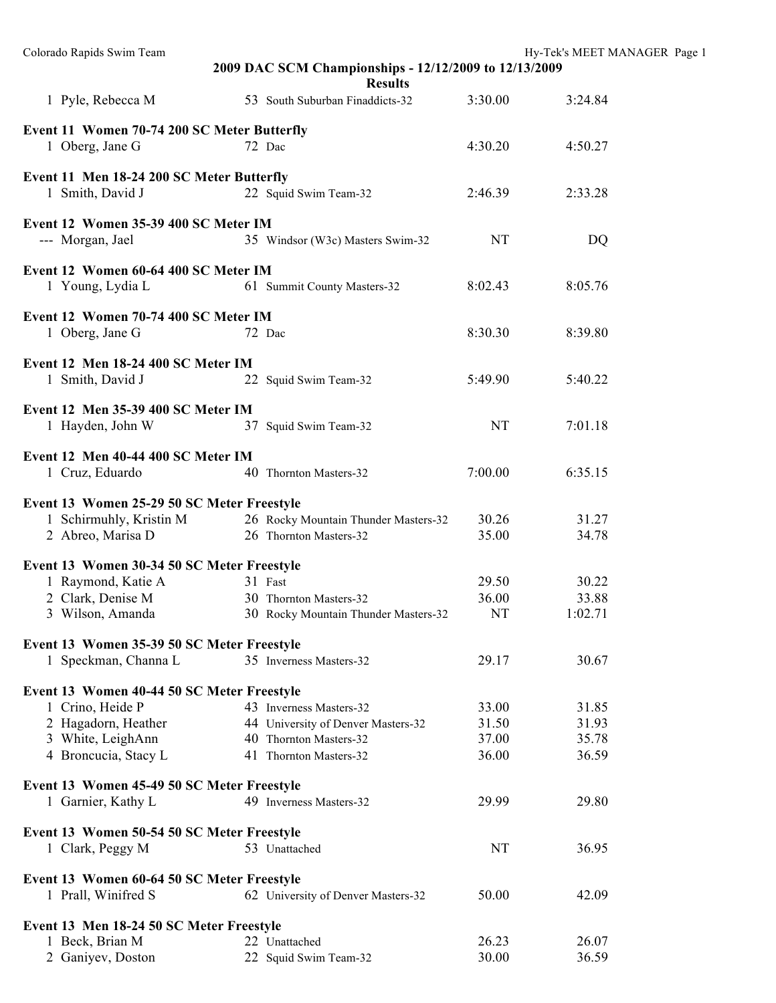| Colorado Rapids Swim Team                                             | 2009 DAC SCM Championships - 12/12/2009 to 12/13/2009<br><b>Results</b> |           | Hy-Tek's MEET MANAGER Page 1 |  |
|-----------------------------------------------------------------------|-------------------------------------------------------------------------|-----------|------------------------------|--|
| 1 Pyle, Rebecca M                                                     | 53 South Suburban Finaddicts-32                                         | 3:30.00   | 3:24.84                      |  |
| Event 11 Women 70-74 200 SC Meter Butterfly<br>1 Oberg, Jane G        | 72 Dac                                                                  | 4:30.20   | 4:50.27                      |  |
| Event 11 Men 18-24 200 SC Meter Butterfly<br>1 Smith, David J         | 22 Squid Swim Team-32                                                   | 2:46.39   | 2:33.28                      |  |
| Event 12 Women 35-39 400 SC Meter IM<br>--- Morgan, Jael              | 35 Windsor (W3c) Masters Swim-32                                        | NT        | DQ                           |  |
| Event 12 Women 60-64 400 SC Meter IM<br>1 Young, Lydia L              | 61 Summit County Masters-32                                             | 8:02.43   | 8:05.76                      |  |
| Event 12 Women 70-74 400 SC Meter IM<br>1 Oberg, Jane G               | 72 Dac                                                                  | 8:30.30   | 8:39.80                      |  |
| Event 12 Men 18-24 400 SC Meter IM<br>1 Smith, David J                | 22 Squid Swim Team-32                                                   | 5:49.90   | 5:40.22                      |  |
| Event 12 Men 35-39 400 SC Meter IM<br>1 Hayden, John W                | 37 Squid Swim Team-32                                                   | NT        | 7:01.18                      |  |
| Event 12 Men 40-44 400 SC Meter IM<br>1 Cruz, Eduardo                 | 40 Thornton Masters-32                                                  | 7:00.00   | 6:35.15                      |  |
| Event 13 Women 25-29 50 SC Meter Freestyle<br>1 Schirmuhly, Kristin M | 26 Rocky Mountain Thunder Masters-32                                    | 30.26     | 31.27                        |  |
| 2 Abreo, Marisa D                                                     | 26 Thornton Masters-32                                                  | 35.00     | 34.78                        |  |
| Event 13 Women 30-34 50 SC Meter Freestyle                            |                                                                         |           |                              |  |
| 1 Raymond, Katie A                                                    | 31 Fast                                                                 | 29.50     | 30.22                        |  |
| 2 Clark, Denise M                                                     | 30 Thornton Masters-32                                                  | 36.00     | 33.88                        |  |
| 3 Wilson, Amanda                                                      | 30 Rocky Mountain Thunder Masters-32                                    | <b>NT</b> | 1:02.71                      |  |
| Event 13 Women 35-39 50 SC Meter Freestyle                            |                                                                         |           |                              |  |
| 1 Speckman, Channa L                                                  | 35 Inverness Masters-32                                                 | 29.17     | 30.67                        |  |
| Event 13 Women 40-44 50 SC Meter Freestyle                            |                                                                         |           |                              |  |
| 1 Crino, Heide P                                                      | 43 Inverness Masters-32                                                 | 33.00     | 31.85                        |  |
| 2 Hagadorn, Heather                                                   | 44 University of Denver Masters-32                                      | 31.50     | 31.93                        |  |
| 3 White, LeighAnn                                                     | 40 Thornton Masters-32                                                  | 37.00     | 35.78                        |  |
| 4 Broncucia, Stacy L                                                  | 41 Thornton Masters-32                                                  | 36.00     | 36.59                        |  |
| Event 13 Women 45-49 50 SC Meter Freestyle                            |                                                                         |           |                              |  |
| 1 Garnier, Kathy L                                                    | 49 Inverness Masters-32                                                 | 29.99     | 29.80                        |  |
| Event 13 Women 50-54 50 SC Meter Freestyle                            |                                                                         |           |                              |  |
| 1 Clark, Peggy M                                                      | 53 Unattached                                                           | NT        | 36.95                        |  |
| Event 13 Women 60-64 50 SC Meter Freestyle<br>1 Prall, Winifred S     | 62 University of Denver Masters-32                                      | 50.00     | 42.09                        |  |
| Event 13 Men 18-24 50 SC Meter Freestyle                              |                                                                         |           |                              |  |
| 1 Beck, Brian M                                                       | 22 Unattached                                                           | 26.23     | 26.07                        |  |
| 2 Ganiyev, Doston                                                     | 22 Squid Swim Team-32                                                   | 30.00     | 36.59                        |  |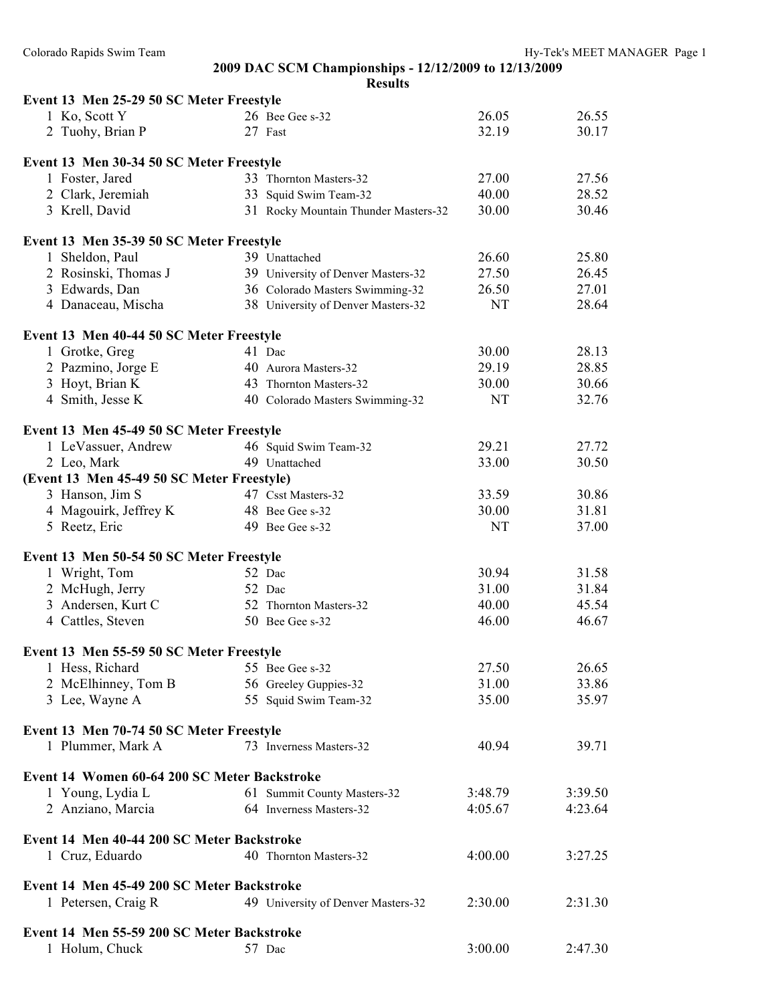### **2009 DAC SCM Championships - 12/12/2009 to 12/13/2009 Results**

| Event 13 Men 25-29 50 SC Meter Freestyle                      |                                      |           |                |
|---------------------------------------------------------------|--------------------------------------|-----------|----------------|
| 1 Ko, Scott Y                                                 | 26 Bee Gee s-32                      | 26.05     | 26.55          |
| 2 Tuohy, Brian P                                              | 27 Fast                              | 32.19     | 30.17          |
|                                                               |                                      |           |                |
| Event 13 Men 30-34 50 SC Meter Freestyle                      |                                      |           |                |
| 1 Foster, Jared                                               | 33 Thornton Masters-32               | 27.00     | 27.56          |
| 2 Clark, Jeremiah                                             | 33 Squid Swim Team-32                | 40.00     | 28.52          |
| 3 Krell, David                                                | 31 Rocky Mountain Thunder Masters-32 | 30.00     | 30.46          |
| Event 13 Men 35-39 50 SC Meter Freestyle                      |                                      |           |                |
| 1 Sheldon, Paul                                               | 39 Unattached                        | 26.60     | 25.80          |
| 2 Rosinski, Thomas J                                          | 39 University of Denver Masters-32   | 27.50     | 26.45          |
| 3 Edwards, Dan                                                | 36 Colorado Masters Swimming-32      | 26.50     | 27.01          |
| 4 Danaceau, Mischa                                            | 38 University of Denver Masters-32   | NT        | 28.64          |
| Event 13 Men 40-44 50 SC Meter Freestyle                      |                                      |           |                |
|                                                               | 41 Dac                               | 30.00     | 28.13          |
| 1 Grotke, Greg                                                | 40 Aurora Masters-32                 | 29.19     | 28.85          |
| 2 Pazmino, Jorge E                                            |                                      |           |                |
| 3 Hoyt, Brian K                                               | 43 Thornton Masters-32               | 30.00     | 30.66          |
| 4 Smith, Jesse K                                              | 40 Colorado Masters Swimming-32      | NT        | 32.76          |
| Event 13 Men 45-49 50 SC Meter Freestyle                      |                                      |           |                |
| 1 LeVassuer, Andrew                                           | 46 Squid Swim Team-32                | 29.21     | 27.72          |
| 2 Leo, Mark                                                   | 49 Unattached                        | 33.00     | 30.50          |
| (Event 13 Men 45-49 50 SC Meter Freestyle)                    |                                      |           |                |
| 3 Hanson, Jim S                                               | 47 Csst Masters-32                   | 33.59     | 30.86          |
| 4 Magouirk, Jeffrey K                                         | 48 Bee Gee s-32                      | 30.00     | 31.81          |
| 5 Reetz, Eric                                                 | 49 Bee Gee s-32                      | <b>NT</b> | 37.00          |
| Event 13 Men 50-54 50 SC Meter Freestyle                      |                                      |           |                |
| 1 Wright, Tom                                                 | 52 Dac                               | 30.94     | 31.58          |
|                                                               |                                      | 31.00     |                |
| 2 McHugh, Jerry                                               | 52 Dac                               |           | 31.84<br>45.54 |
| 3 Andersen, Kurt C                                            | 52 Thornton Masters-32               | 40.00     |                |
| 4 Cattles, Steven                                             | 50 Bee Gee s-32                      | 46.00     | 46.67          |
| Event 13 Men 55-59 50 SC Meter Freestyle                      |                                      |           |                |
| 1 Hess, Richard                                               | 55 Bee Gee s-32                      | 27.50     | 26.65          |
| 2 McElhinney, Tom B                                           | 56 Greeley Guppies-32                | 31.00     | 33.86          |
| 3 Lee, Wayne A                                                | 55 Squid Swim Team-32                | 35.00     | 35.97          |
|                                                               |                                      |           |                |
| Event 13 Men 70-74 50 SC Meter Freestyle<br>1 Plummer, Mark A | 73 Inverness Masters-32              | 40.94     | 39.71          |
|                                                               |                                      |           |                |
| Event 14 Women 60-64 200 SC Meter Backstroke                  |                                      |           |                |
| 1 Young, Lydia L                                              | 61 Summit County Masters-32          | 3:48.79   | 3:39.50        |
| 2 Anziano, Marcia                                             | 64 Inverness Masters-32              | 4:05.67   | 4:23.64        |
| Event 14 Men 40-44 200 SC Meter Backstroke                    |                                      |           |                |
| 1 Cruz, Eduardo                                               | 40 Thornton Masters-32               | 4:00.00   | 3:27.25        |
|                                                               |                                      |           |                |
| Event 14 Men 45-49 200 SC Meter Backstroke                    |                                      |           |                |
| 1 Petersen, Craig R                                           | 49 University of Denver Masters-32   | 2:30.00   | 2:31.30        |
| Event 14 Men 55-59 200 SC Meter Backstroke                    |                                      |           |                |
| 1 Holum, Chuck                                                | 57 Dac                               | 3:00.00   | 2:47.30        |
|                                                               |                                      |           |                |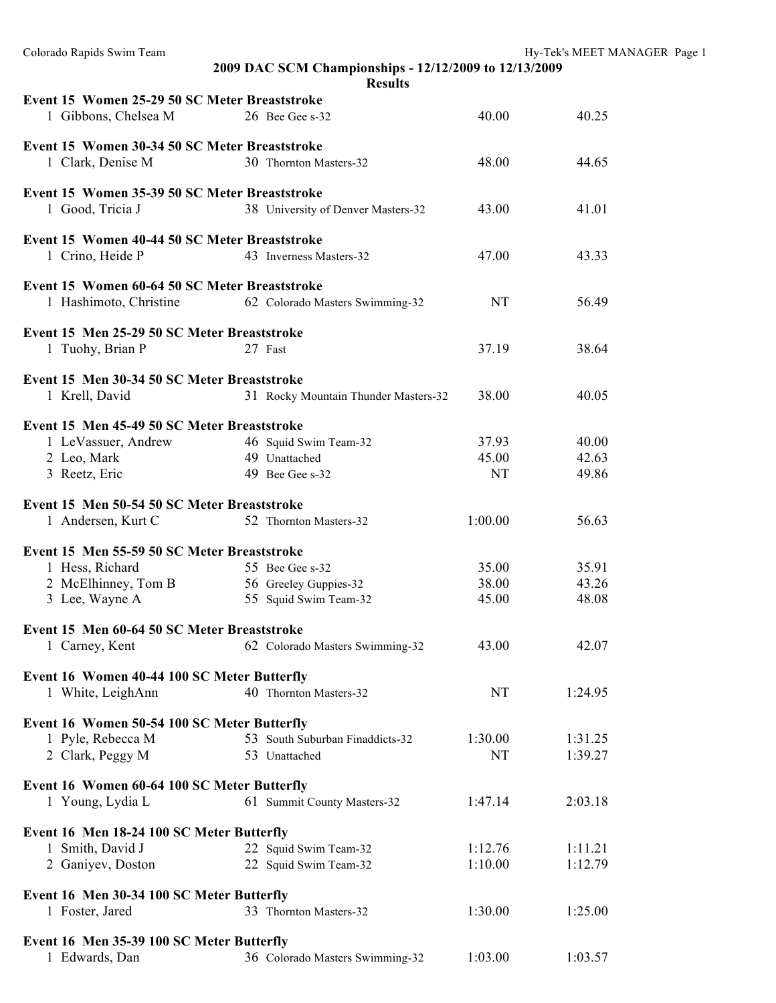| Colorado Rapids Swim Team                                        |                                                       |           | Hy-Tek's MEET MANAGER Page 1 |
|------------------------------------------------------------------|-------------------------------------------------------|-----------|------------------------------|
|                                                                  | 2009 DAC SCM Championships - 12/12/2009 to 12/13/2009 |           |                              |
|                                                                  | <b>Results</b>                                        |           |                              |
| Event 15 Women 25-29 50 SC Meter Breaststroke                    |                                                       |           |                              |
| 1 Gibbons, Chelsea M                                             | 26 Bee Gee s-32                                       | 40.00     | 40.25                        |
| Event 15 Women 30-34 50 SC Meter Breaststroke                    |                                                       |           |                              |
| 1 Clark, Denise M                                                | 30 Thornton Masters-32                                | 48.00     | 44.65                        |
|                                                                  |                                                       |           |                              |
| Event 15 Women 35-39 50 SC Meter Breaststroke                    |                                                       |           |                              |
| 1 Good, Tricia J                                                 | 38 University of Denver Masters-32                    | 43.00     | 41.01                        |
|                                                                  |                                                       |           |                              |
| Event 15 Women 40-44 50 SC Meter Breaststroke                    |                                                       | 47.00     |                              |
| 1 Crino, Heide P                                                 | 43 Inverness Masters-32                               |           | 43.33                        |
| Event 15 Women 60-64 50 SC Meter Breaststroke                    |                                                       |           |                              |
| 1 Hashimoto, Christine                                           | 62 Colorado Masters Swimming-32                       | NT        | 56.49                        |
|                                                                  |                                                       |           |                              |
| Event 15 Men 25-29 50 SC Meter Breaststroke                      |                                                       |           |                              |
| 1 Tuohy, Brian P                                                 | 27 Fast                                               | 37.19     | 38.64                        |
|                                                                  |                                                       |           |                              |
| Event 15 Men 30-34 50 SC Meter Breaststroke                      |                                                       | 38.00     | 40.05                        |
| 1 Krell, David                                                   | 31 Rocky Mountain Thunder Masters-32                  |           |                              |
| Event 15 Men 45-49 50 SC Meter Breaststroke                      |                                                       |           |                              |
| 1 LeVassuer, Andrew                                              | 46 Squid Swim Team-32                                 | 37.93     | 40.00                        |
| 2 Leo, Mark                                                      | 49 Unattached                                         | 45.00     | 42.63                        |
| 3 Reetz, Eric                                                    | 49 Bee Gee s-32                                       | <b>NT</b> | 49.86                        |
|                                                                  |                                                       |           |                              |
| Event 15 Men 50-54 50 SC Meter Breaststroke                      |                                                       |           |                              |
| 1 Andersen, Kurt C                                               | 52 Thornton Masters-32                                | 1:00.00   | 56.63                        |
| Event 15 Men 55-59 50 SC Meter Breaststroke                      |                                                       |           |                              |
| 1 Hess, Richard                                                  | 55 Bee Gee s-32                                       | 35.00     | 35.91                        |
| 2 McElhinney, Tom B                                              | 56 Greeley Guppies-32                                 | 38.00     | 43.26                        |
| 3 Lee, Wayne A                                                   | 55 Squid Swim Team-32                                 | 45.00     | 48.08                        |
|                                                                  |                                                       |           |                              |
| Event 15 Men 60-64 50 SC Meter Breaststroke                      |                                                       |           |                              |
| 1 Carney, Kent                                                   | 62 Colorado Masters Swimming-32                       | 43.00     | 42.07                        |
|                                                                  |                                                       |           |                              |
| Event 16 Women 40-44 100 SC Meter Butterfly<br>1 White, LeighAnn | 40 Thornton Masters-32                                | <b>NT</b> | 1:24.95                      |
|                                                                  |                                                       |           |                              |
| Event 16 Women 50-54 100 SC Meter Butterfly                      |                                                       |           |                              |
| 1 Pyle, Rebecca M                                                | 53 South Suburban Finaddicts-32                       | 1:30.00   | 1:31.25                      |
| 2 Clark, Peggy M                                                 | 53 Unattached                                         | <b>NT</b> | 1:39.27                      |
|                                                                  |                                                       |           |                              |
| Event 16 Women 60-64 100 SC Meter Butterfly                      |                                                       |           |                              |
| 1 Young, Lydia L                                                 | 61 Summit County Masters-32                           | 1:47.14   | 2:03.18                      |
| Event 16 Men 18-24 100 SC Meter Butterfly                        |                                                       |           |                              |
| 1 Smith, David J                                                 | 22 Squid Swim Team-32                                 | 1:12.76   | 1:11.21                      |
| 2 Ganiyev, Doston                                                | 22 Squid Swim Team-32                                 | 1:10.00   | 1:12.79                      |
|                                                                  |                                                       |           |                              |
| Event 16 Men 30-34 100 SC Meter Butterfly                        |                                                       |           |                              |
| 1 Foster, Jared                                                  | 33 Thornton Masters-32                                | 1:30.00   | 1:25.00                      |
|                                                                  |                                                       |           |                              |
| Event 16 Men 35-39 100 SC Meter Butterfly                        |                                                       |           |                              |
| 1 Edwards, Dan                                                   | 36 Colorado Masters Swimming-32                       | 1:03.00   | 1:03.57                      |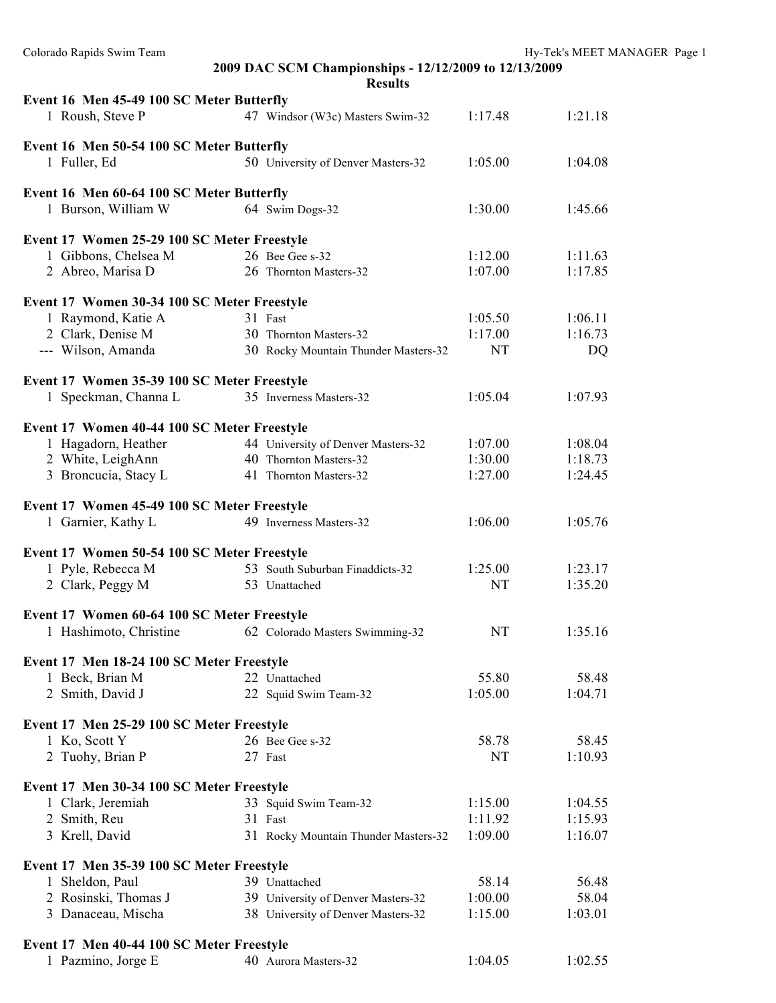| Colorado Rapids Swim Team                   |                                                                         |           | Hy-Tek's MEET MANAGER Page 1 |  |
|---------------------------------------------|-------------------------------------------------------------------------|-----------|------------------------------|--|
|                                             | 2009 DAC SCM Championships - 12/12/2009 to 12/13/2009<br><b>Results</b> |           |                              |  |
| Event 16 Men 45-49 100 SC Meter Butterfly   |                                                                         |           |                              |  |
| 1 Roush, Steve P                            | 47 Windsor (W3c) Masters Swim-32                                        | 1:17.48   | 1:21.18                      |  |
| Event 16 Men 50-54 100 SC Meter Butterfly   |                                                                         |           |                              |  |
| 1 Fuller, Ed                                | 50 University of Denver Masters-32                                      | 1:05.00   | 1:04.08                      |  |
| Event 16 Men 60-64 100 SC Meter Butterfly   |                                                                         |           |                              |  |
| 1 Burson, William W                         | 64 Swim Dogs-32                                                         | 1:30.00   | 1:45.66                      |  |
| Event 17 Women 25-29 100 SC Meter Freestyle |                                                                         |           |                              |  |
| 1 Gibbons, Chelsea M                        | 26 Bee Gee s-32                                                         | 1:12.00   | 1:11.63                      |  |
| 2 Abreo, Marisa D                           | 26 Thornton Masters-32                                                  | 1:07.00   | 1:17.85                      |  |
| Event 17 Women 30-34 100 SC Meter Freestyle |                                                                         |           |                              |  |
| 1 Raymond, Katie A                          | 31 Fast                                                                 | 1:05.50   | 1:06.11                      |  |
| 2 Clark, Denise M                           | 30 Thornton Masters-32                                                  | 1:17.00   | 1:16.73                      |  |
| --- Wilson, Amanda                          |                                                                         | NT        | DQ                           |  |
|                                             | 30 Rocky Mountain Thunder Masters-32                                    |           |                              |  |
| Event 17 Women 35-39 100 SC Meter Freestyle |                                                                         |           |                              |  |
| 1 Speckman, Channa L                        | 35 Inverness Masters-32                                                 | 1:05.04   | 1:07.93                      |  |
| Event 17 Women 40-44 100 SC Meter Freestyle |                                                                         |           |                              |  |
| 1 Hagadorn, Heather                         | 44 University of Denver Masters-32                                      | 1:07.00   | 1:08.04                      |  |
| 2 White, LeighAnn                           | 40 Thornton Masters-32                                                  | 1:30.00   | 1:18.73                      |  |
| 3 Broncucia, Stacy L                        | 41 Thornton Masters-32                                                  | 1:27.00   | 1:24.45                      |  |
| Event 17 Women 45-49 100 SC Meter Freestyle |                                                                         |           |                              |  |
| 1 Garnier, Kathy L                          | 49 Inverness Masters-32                                                 | 1:06.00   | 1:05.76                      |  |
| Event 17 Women 50-54 100 SC Meter Freestyle |                                                                         |           |                              |  |
| 1 Pyle, Rebecca M                           | 53 South Suburban Finaddicts-32                                         | 1:25.00   | 1:23.17                      |  |
|                                             |                                                                         |           |                              |  |
| 2 Clark, Peggy M                            | 53 Unattached                                                           | NT        | 1:35.20                      |  |
| Event 17 Women 60-64 100 SC Meter Freestyle |                                                                         |           |                              |  |
| 1 Hashimoto, Christine                      | 62 Colorado Masters Swimming-32                                         | NT        | 1:35.16                      |  |
| Event 17 Men 18-24 100 SC Meter Freestyle   |                                                                         |           |                              |  |
| 1 Beck, Brian M                             | 22 Unattached                                                           | 55.80     | 58.48                        |  |
| 2 Smith, David J                            | 22 Squid Swim Team-32                                                   | 1:05.00   | 1:04.71                      |  |
| Event 17 Men 25-29 100 SC Meter Freestyle   |                                                                         |           |                              |  |
| 1 Ko, Scott Y                               | 26 Bee Gee s-32                                                         | 58.78     | 58.45                        |  |
| 2 Tuohy, Brian P                            | 27 Fast                                                                 | <b>NT</b> | 1:10.93                      |  |
| Event 17 Men 30-34 100 SC Meter Freestyle   |                                                                         |           |                              |  |
| 1 Clark, Jeremiah                           | 33 Squid Swim Team-32                                                   | 1:15.00   | 1:04.55                      |  |
| 2 Smith, Reu                                | 31 Fast                                                                 | 1:11.92   | 1:15.93                      |  |
|                                             |                                                                         |           |                              |  |
| 3 Krell, David                              | 31 Rocky Mountain Thunder Masters-32                                    | 1:09.00   | 1:16.07                      |  |
| Event 17 Men 35-39 100 SC Meter Freestyle   |                                                                         |           |                              |  |
| 1 Sheldon, Paul                             | 39 Unattached                                                           | 58.14     | 56.48                        |  |
| 2 Rosinski, Thomas J                        | 39 University of Denver Masters-32                                      | 1:00.00   | 58.04                        |  |
| 3 Danaceau, Mischa                          | 38 University of Denver Masters-32                                      | 1:15.00   | 1:03.01                      |  |
| Event 17 Men 40-44 100 SC Meter Freestyle   |                                                                         |           |                              |  |
| 1 Pazmino, Jorge E                          | 40 Aurora Masters-32                                                    | 1:04.05   | 1:02.55                      |  |